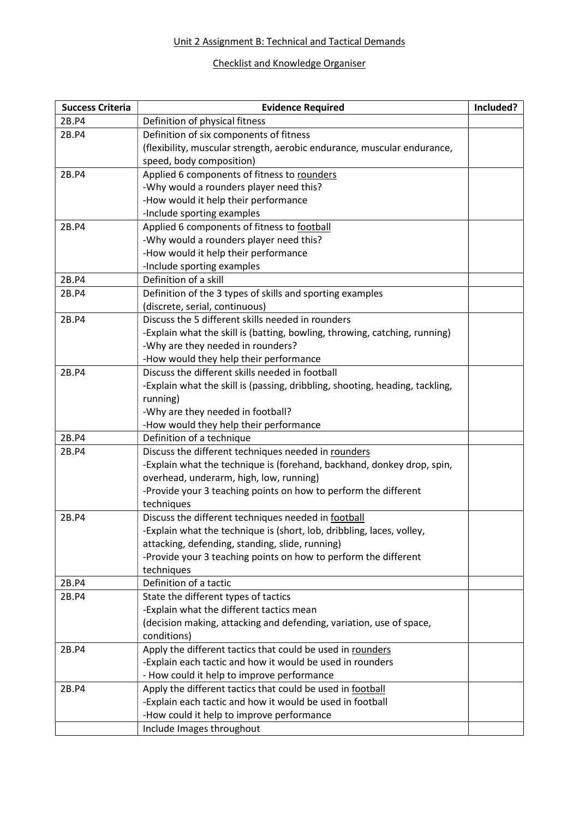#### Unit 2 Assignment B: Technical and Tactical Demands

### Checklist and Knowledge Organiser

| <b>Success Criteria</b> | <b>Evidence Required</b>                                                     | Included? |
|-------------------------|------------------------------------------------------------------------------|-----------|
| 2B.P4                   | Definition of physical fitness                                               |           |
| 2B.P4                   | Definition of six components of fitness                                      |           |
|                         | (flexibility, muscular strength, aerobic endurance, muscular endurance,      |           |
|                         | speed, body composition)                                                     |           |
| 2B.P4                   | Applied 6 components of fitness to rounders                                  |           |
|                         | -Why would a rounders player need this?                                      |           |
|                         | -How would it help their performance                                         |           |
|                         | -Include sporting examples                                                   |           |
| 2B.P4                   | Applied 6 components of fitness to football                                  |           |
|                         | -Why would a rounders player need this?                                      |           |
|                         | -How would it help their performance                                         |           |
|                         | -Include sporting examples                                                   |           |
| 2B.P4                   | Definition of a skill                                                        |           |
| 2B.P4                   | Definition of the 3 types of skills and sporting examples                    |           |
|                         | (discrete, serial, continuous)                                               |           |
| 2B.P4                   | Discuss the 5 different skills needed in rounders                            |           |
|                         | -Explain what the skill is (batting, bowling, throwing, catching, running)   |           |
|                         | -Why are they needed in rounders?                                            |           |
|                         | -How would they help their performance                                       |           |
| 2B.P4                   | Discuss the different skills needed in football                              |           |
|                         | -Explain what the skill is (passing, dribbling, shooting, heading, tackling, |           |
|                         | running)                                                                     |           |
|                         | -Why are they needed in football?                                            |           |
|                         | -How would they help their performance                                       |           |
| 2B.P4                   | Definition of a technique                                                    |           |
| 2B.P4                   | Discuss the different techniques needed in rounders                          |           |
|                         | -Explain what the technique is (forehand, backhand, donkey drop, spin,       |           |
|                         | overhead, underarm, high, low, running)                                      |           |
|                         | -Provide your 3 teaching points on how to perform the different              |           |
|                         | techniques                                                                   |           |
| 2B.P4                   | Discuss the different techniques needed in football                          |           |
|                         | -Explain what the technique is (short, lob, dribbling, laces, volley,        |           |
|                         | attacking, defending, standing, slide, running)                              |           |
|                         | -Provide your 3 teaching points on how to perform the different              |           |
| 2B.P4                   | techniques<br>Definition of a tactic                                         |           |
| 2B.P4                   | State the different types of tactics                                         |           |
|                         | -Explain what the different tactics mean                                     |           |
|                         | (decision making, attacking and defending, variation, use of space,          |           |
|                         | conditions)                                                                  |           |
| 2B.P4                   | Apply the different tactics that could be used in rounders                   |           |
|                         | -Explain each tactic and how it would be used in rounders                    |           |
|                         | - How could it help to improve performance                                   |           |
| 2B.P4                   | Apply the different tactics that could be used in football                   |           |
|                         | -Explain each tactic and how it would be used in football                    |           |
|                         | -How could it help to improve performance                                    |           |
|                         | Include Images throughout                                                    |           |